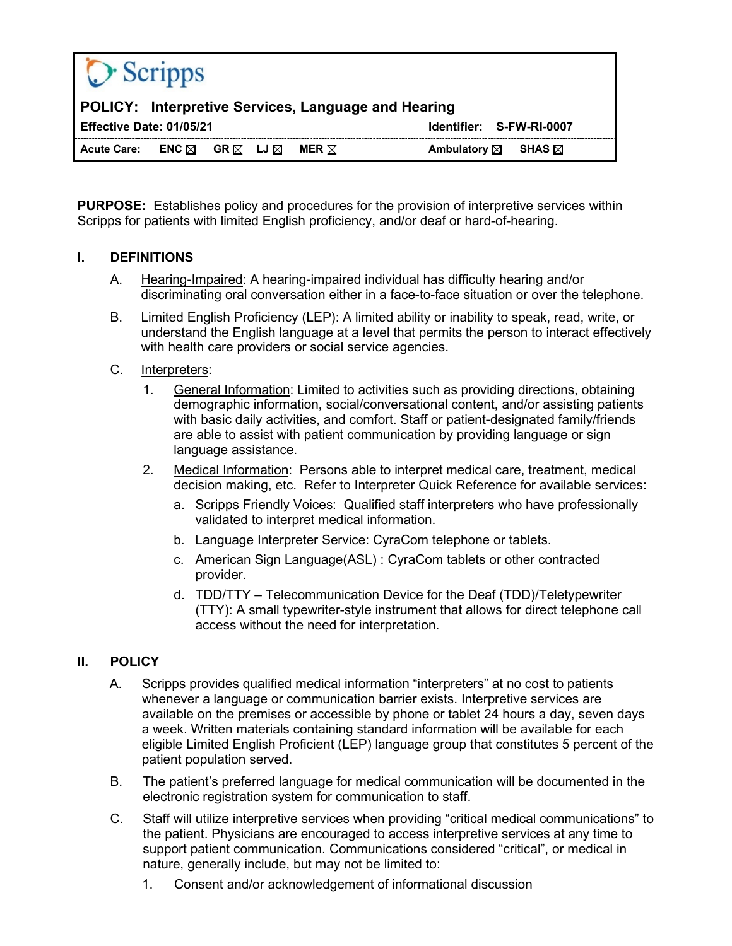| <b>POLICY:</b> Interpretive Services, Language and Hearing                                                                              |  |
|-----------------------------------------------------------------------------------------------------------------------------------------|--|
| Identifier: S-FW-RI-0007<br>Effective Date: 01/05/21                                                                                    |  |
| <b>Acute Care:</b><br>Ambulatory $\boxtimes$<br>ENC $\boxtimes$<br>GR $\boxtimes$ LJ $\boxtimes$<br>SHAS $\boxtimes$<br>MER $\boxtimes$ |  |

**PURPOSE:** Establishes policy and procedures for the provision of interpretive services within Scripps for patients with limited English proficiency, and/or deaf or hard-of-hearing.

# **I. DEFINITIONS**

- A. Hearing-Impaired: A hearing-impaired individual has difficulty hearing and/or discriminating oral conversation either in a face-to-face situation or over the telephone.
- B. Limited English Proficiency (LEP): A limited ability or inability to speak, read, write, or understand the English language at a level that permits the person to interact effectively with health care providers or social service agencies.

# C. Interpreters:

- 1. General Information: Limited to activities such as providing directions, obtaining demographic information, social/conversational content, and/or assisting patients with basic daily activities, and comfort. Staff or patient-designated family/friends are able to assist with patient communication by providing language or sign language assistance.
- 2. Medical Information: Persons able to interpret medical care, treatment, medical decision making, etc. Refer to Interpreter Quick Reference for available services:
	- a. Scripps Friendly Voices: Qualified staff interpreters who have professionally validated to interpret medical information.
	- b. Language Interpreter Service: CyraCom telephone or tablets.
	- c. American Sign Language(ASL) : CyraCom tablets or other contracted provider.
	- d. TDD/TTY Telecommunication Device for the Deaf (TDD)/Teletypewriter (TTY): A small typewriter-style instrument that allows for direct telephone call access without the need for interpretation.

# **II. POLICY**

- A. Scripps provides qualified medical information "interpreters" at no cost to patients whenever a language or communication barrier exists. Interpretive services are available on the premises or accessible by phone or tablet 24 hours a day, seven days a week. Written materials containing standard information will be available for each eligible Limited English Proficient (LEP) language group that constitutes 5 percent of the patient population served.
- B. The patient's preferred language for medical communication will be documented in the electronic registration system for communication to staff.
- C. Staff will utilize interpretive services when providing "critical medical communications" to the patient. Physicians are encouraged to access interpretive services at any time to support patient communication. Communications considered "critical", or medical in nature, generally include, but may not be limited to:
	- 1. Consent and/or acknowledgement of informational discussion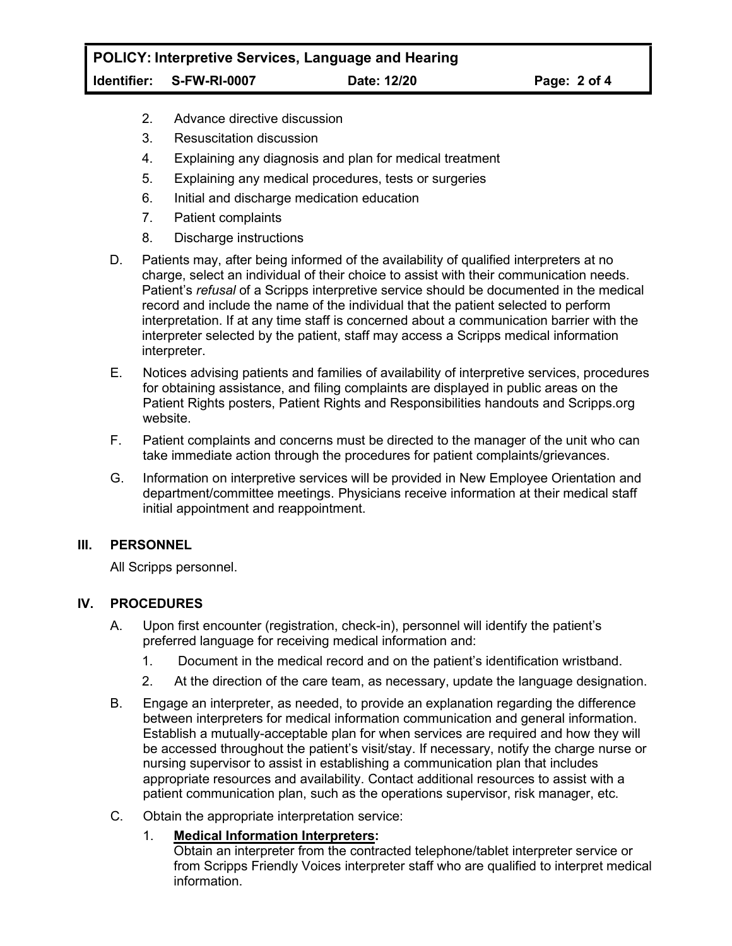- 2. Advance directive discussion
- 3. Resuscitation discussion
- 4. Explaining any diagnosis and plan for medical treatment
- 5. Explaining any medical procedures, tests or surgeries
- 6. Initial and discharge medication education
- 7. Patient complaints
- 8. Discharge instructions
- D. Patients may, after being informed of the availability of qualified interpreters at no charge, select an individual of their choice to assist with their communication needs. Patient's *refusal* of a Scripps interpretive service should be documented in the medical record and include the name of the individual that the patient selected to perform interpretation. If at any time staff is concerned about a communication barrier with the interpreter selected by the patient, staff may access a Scripps medical information interpreter.
- E. Notices advising patients and families of availability of interpretive services, procedures for obtaining assistance, and filing complaints are displayed in public areas on the Patient Rights posters, Patient Rights and Responsibilities handouts and Scripps.org website.
- F. Patient complaints and concerns must be directed to the manager of the unit who can take immediate action through the procedures for patient complaints/grievances.
- G. Information on interpretive services will be provided in New Employee Orientation and department/committee meetings. Physicians receive information at their medical staff initial appointment and reappointment.

### **III. PERSONNEL**

All Scripps personnel.

### **IV. PROCEDURES**

- A. Upon first encounter (registration, check-in), personnel will identify the patient's preferred language for receiving medical information and:
	- 1. Document in the medical record and on the patient's identification wristband.
	- 2. At the direction of the care team, as necessary, update the language designation.
- B. Engage an interpreter, as needed, to provide an explanation regarding the difference between interpreters for medical information communication and general information. Establish a mutually-acceptable plan for when services are required and how they will be accessed throughout the patient's visit/stay. If necessary, notify the charge nurse or nursing supervisor to assist in establishing a communication plan that includes appropriate resources and availability. Contact additional resources to assist with a patient communication plan, such as the operations supervisor, risk manager, etc.
- C. Obtain the appropriate interpretation service:
	- 1. **Medical Information Interpreters:**

Obtain an interpreter from the contracted telephone/tablet interpreter service or from Scripps Friendly Voices interpreter staff who are qualified to interpret medical information.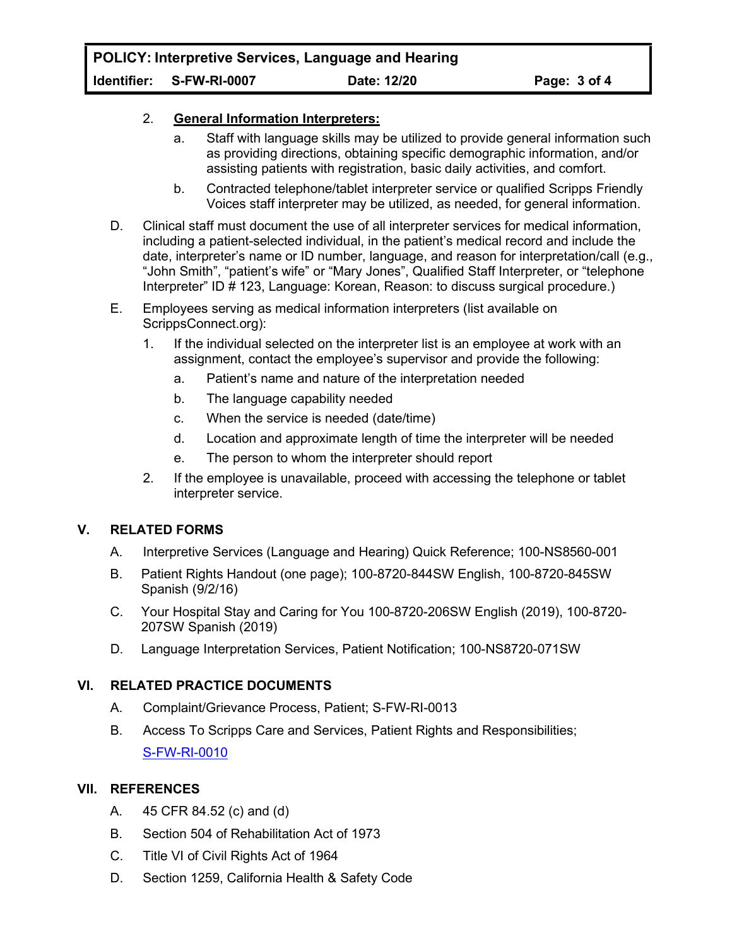## 2. **General Information Interpreters:**

- a. Staff with language skills may be utilized to provide general information such as providing directions, obtaining specific demographic information, and/or assisting patients with registration, basic daily activities, and comfort.
- b. Contracted telephone/tablet interpreter service or qualified Scripps Friendly Voices staff interpreter may be utilized, as needed, for general information.
- D. Clinical staff must document the use of all interpreter services for medical information, including a patient-selected individual, in the patient's medical record and include the date, interpreter's name or ID number, language, and reason for interpretation/call (e.g., "John Smith", "patient's wife" or "Mary Jones", Qualified Staff Interpreter, or "telephone Interpreter" ID # 123, Language: Korean, Reason: to discuss surgical procedure.)
- E. Employees serving as medical information interpreters (list available on ScrippsConnect.org):
	- 1. If the individual selected on the interpreter list is an employee at work with an assignment, contact the employee's supervisor and provide the following:
		- a. Patient's name and nature of the interpretation needed
		- b. The language capability needed
		- c. When the service is needed (date/time)
		- d. Location and approximate length of time the interpreter will be needed
		- e. The person to whom the interpreter should report
	- 2. If the employee is unavailable, proceed with accessing the telephone or tablet interpreter service.

# **V. RELATED FORMS**

- A. Interpretive Services (Language and Hearing) Quick Reference; 100-NS8560-001
- B. Patient Rights Handout (one page); 100-8720-844SW English, 100-8720-845SW Spanish (9/2/16)
- C. Your Hospital Stay and Caring for You 100-8720-206SW English (2019), 100-8720- 207SW Spanish (2019)
- D. Language Interpretation Services, Patient Notification; 100-NS8720-071SW

# **VI. RELATED PRACTICE DOCUMENTS**

- A. Complaint/Grievance Process, Patient; S-FW-RI-0013
- B. Access To Scripps Care and Services, Patient Rights and Responsibilities; S-FW-RI-0010

# **VII. REFERENCES**

- A. 45 CFR 84.52 (c) and (d)
- B. Section 504 of Rehabilitation Act of 1973
- C. Title VI of Civil Rights Act of 1964
- D. Section 1259, California Health & Safety Code